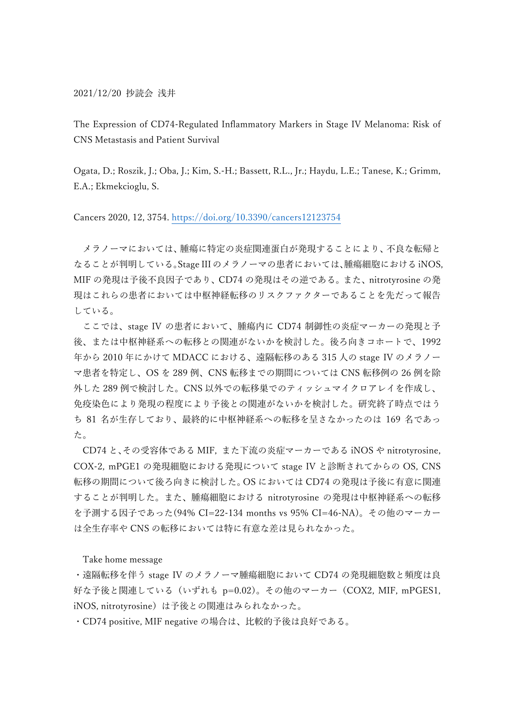2021/12/20 抄読会 浅井

The Expression of CD74-Regulated Inflammatory Markers in Stage IV Melanoma: Risk of CNS Metastasis and Patient Survival

Ogata, D.; Roszik, J.; Oba, J.; Kim, S.-H.; Bassett, R.L., Jr.; Haydu, L.E.; Tanese, K.; Grimm, E.A.; Ekmekcioglu, S.

Cancers 2020, 12, 3754. https://doi.org/10.3390/cancers12123754

メラノーマにおいては、腫瘍に特定の炎症関連蛋白が発現することにより、不良な転帰と なることが判明している。Stage III のメラノーマの患者においては、腫瘍細胞における iNOS, MIF の発現は予後不良因子であり、CD74 の発現はその逆である。また、nitrotyrosine の発 現はこれらの患者においては中枢神経転移のリスクファクターであることを先だって報告 している。

ここでは、stage IV の患者において、腫瘍内に CD74 制御性の炎症マーカーの発現と予 後、または中枢神経系への転移との関連がないかを検討した。後ろ向きコホートで、1992 年から 2010 年にかけて MDACC における、遠隔転移のある 315 人の stage IV のメラノー マ患者を特定し、OS を 289 例、CNS 転移までの期間については CNS 転移例の 26 例を除 外した 289 例で検討した。CNS 以外での転移巣でのティッシュマイクロアレイを作成し、 免疫染色により発現の程度により予後との関連がないかを検討した。研究終了時点ではう ち 81 名が生存しており、最終的に中枢神経系への転移を呈さなかったのは 169 名であっ た。

CD74 と、その受容体である MIF, また下流の炎症マーカーである iNOS や nitrotyrosine, COX-2, mPGE1 の発現細胞における発現について stage IV と診断されてからの OS, CNS 転移の期間について後ろ向きに検討した。OS においては CD74 の発現は予後に有意に関連 することが判明した。また、腫瘍細胞における nitrotyrosine の発現は中枢神経系への転移 を予測する因子であった(94% CI=22-134 months vs 95% CI=46-NA)。その他のマーカー は全生存率や CNS の転移においては特に有意な差は見られなかった。

Take home message

・遠隔転移を伴う stage IV のメラノーマ腫瘍細胞において CD74 の発現細胞数と頻度は良 好な予後と関連している(いずれも p=0.02)。その他のマーカー(COX2, MIF, mPGES1, iNOS, nitrotyrosine)は予後との関連はみられなかった。

・CD74 positive, MIF negative の場合は、比較的予後は良好である。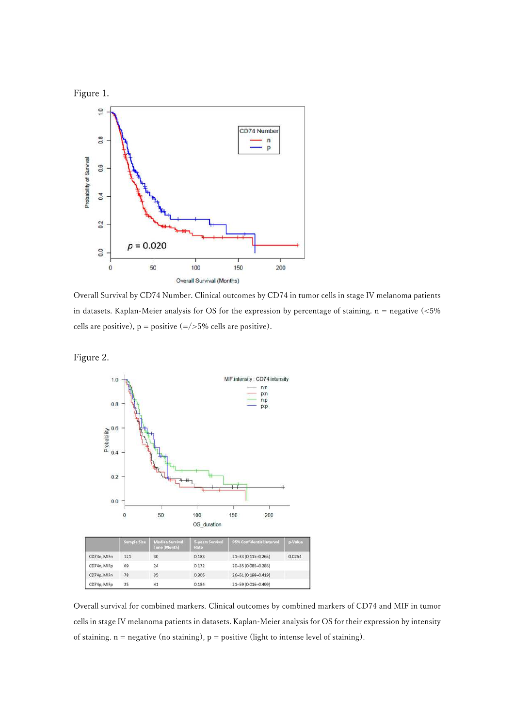

Overall Survival by CD74 Number. Clinical outcomes by CD74 in tumor cells in stage IV melanoma patients in datasets. Kaplan-Meier analysis for OS for the expression by percentage of staining. n = negative (<5% cells are positive),  $p = positive (= / > 5\%$  cells are positive).





Overall survival for combined markers. Clinical outcomes by combined markers of CD74 and MIF in tumor cells in stage IV melanoma patients in datasets. Kaplan-Meier analysis for OS for their expression by intensity of staining.  $n =$  negative (no staining),  $p =$  positive (light to intense level of staining).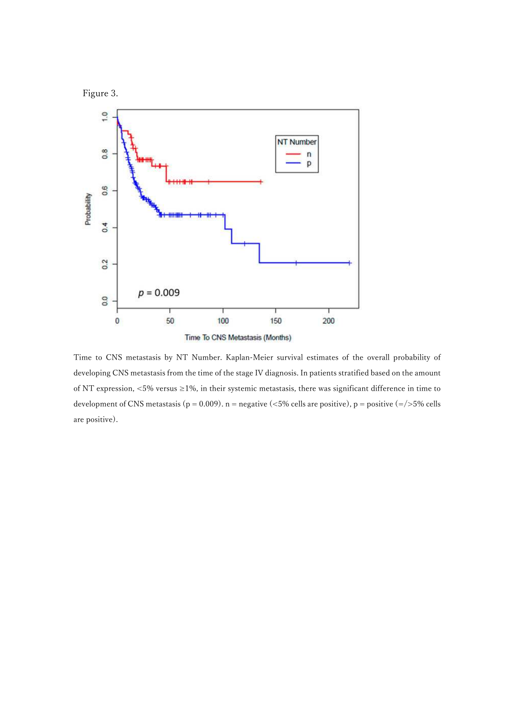



Time to CNS metastasis by NT Number. Kaplan-Meier survival estimates of the overall probability of developing CNS metastasis from the time of the stage IV diagnosis. In patients stratified based on the amount of NT expression, <5% versus ≥1%, in their systemic metastasis, there was significant difference in time to development of CNS metastasis (p = 0.009).  $n =$  negative (<5% cells are positive), p = positive (=/>5% cells are positive).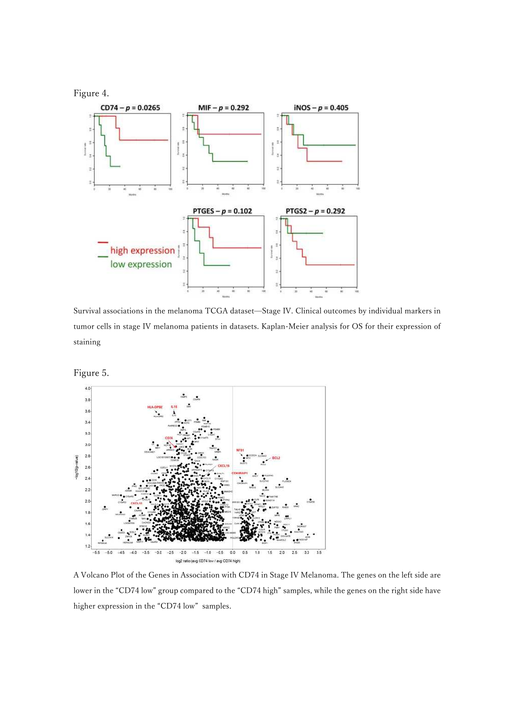

Survival associations in the melanoma TCGA dataset—Stage IV. Clinical outcomes by individual markers in tumor cells in stage IV melanoma patients in datasets. Kaplan-Meier analysis for OS for their expression of staining

Figure 5.



A Volcano Plot of the Genes in Association with CD74 in Stage IV Melanoma. The genes on the left side are lower in the "CD74 low" group compared to the "CD74 high" samples, while the genes on the right side have higher expression in the "CD74 low" samples.